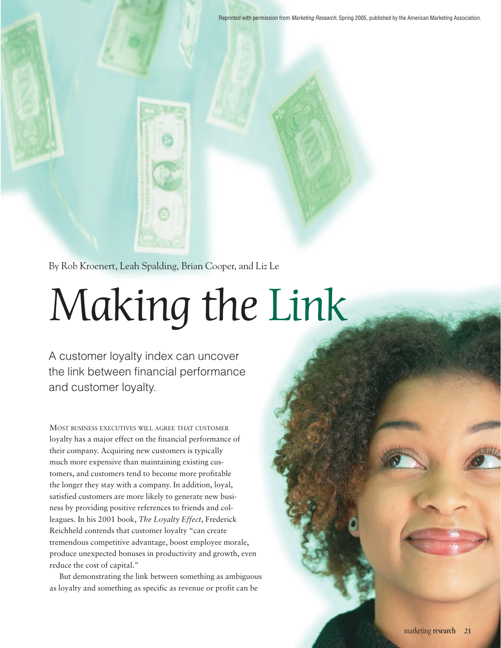Reprinted with permission from *Marketing Research*, Spring 2005, published by the American Marketing Association.

By Rob Kroenert, Leah Spalding, Brian Cooper, and Liz Le

# Making the Link

A customer loyalty index can uncover the link between financial performance and customer loyalty.

MOST BUSINESS EXECUTIVES WILL AGREE THAT CUSTOMER loyalty has a major effect on the financial performance of their company. Acquiring new customers is typically much more expensive than maintaining existing customers, and customers tend to become more profitable the longer they stay with a company. In addition, loyal, satisfied customers are more likely to generate new business by providing positive references to friends and colleagues. In his 2001 book, *The Loyalty Effect*, Frederick Reichheld contends that customer loyalty "can create tremendous competitive advantage, boost employee morale, produce unexpected bonuses in productivity and growth, even reduce the cost of capital."

But demonstrating the link between something as ambiguous as loyalty and something as specific as revenue or profit can be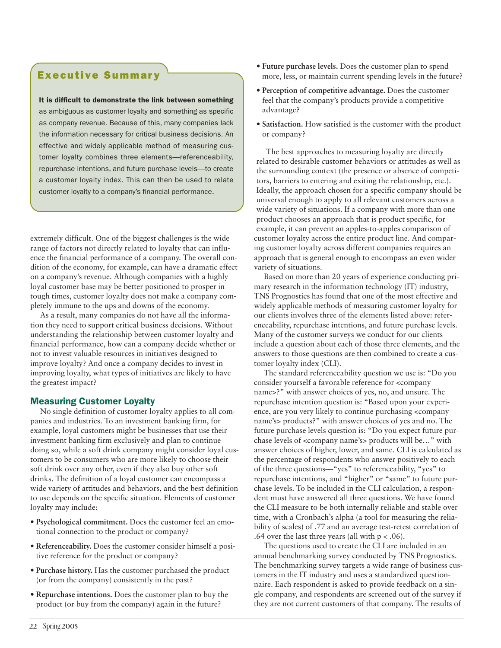# Executive Summary

#### It is difficult to demonstrate the link between something

as ambiguous as customer loyalty and something as specific as company revenue. Because of this, many companies lack the information necessary for critical business decisions. An effective and widely applicable method of measuring customer loyalty combines three elements—referenceability, repurchase intentions, and future purchase levels—to create a customer loyalty index. This can then be used to relate customer loyalty to a company's financial performance.

extremely difficult. One of the biggest challenges is the wide range of factors not directly related to loyalty that can influence the financial performance of a company. The overall condition of the economy, for example, can have a dramatic effect on a company's revenue. Although companies with a highly loyal customer base may be better positioned to prosper in tough times, customer loyalty does not make a company completely immune to the ups and downs of the economy.

As a result, many companies do not have all the information they need to support critical business decisions. Without understanding the relationship between customer loyalty and financial performance, how can a company decide whether or not to invest valuable resources in initiatives designed to improve loyalty? And once a company decides to invest in improving loyalty, what types of initiatives are likely to have the greatest impact?

# Measuring Customer Loyalty

No single definition of customer loyalty applies to all companies and industries. To an investment banking firm, for example, loyal customers might be businesses that use their investment banking firm exclusively and plan to continue doing so, while a soft drink company might consider loyal customers to be consumers who are more likely to choose their soft drink over any other, even if they also buy other soft drinks. The definition of a loyal customer can encompass a wide variety of attitudes and behaviors, and the best definition to use depends on the specific situation. Elements of customer loyalty may include:

- **Psychological commitment.** Does the customer feel an emotional connection to the product or company?
- **Referenceability.** Does the customer consider himself a positive reference for the product or company?
- **Purchase history.** Has the customer purchased the product (or from the company) consistently in the past?
- **Repurchase intentions.** Does the customer plan to buy the product (or buy from the company) again in the future?
- **Future purchase levels.** Does the customer plan to spend more, less, or maintain current spending levels in the future?
- **Perception of competitive advantage.** Does the customer feel that the company's products provide a competitive advantage?
- **Satisfaction.** How satisfied is the customer with the product or company?

The best approaches to measuring loyalty are directly related to desirable customer behaviors or attitudes as well as the surrounding context (the presence or absence of competitors, barriers to entering and exiting the relationship, etc.). Ideally, the approach chosen for a specific company should be universal enough to apply to all relevant customers across a wide variety of situations. If a company with more than one product chooses an approach that is product specific, for example, it can prevent an apples-to-apples comparison of customer loyalty across the entire product line. And comparing customer loyalty across different companies requires an approach that is general enough to encompass an even wider variety of situations.

Based on more than 20 years of experience conducting primary research in the information technology (IT) industry, TNS Prognostics has found that one of the most effective and widely applicable methods of measuring customer loyalty for our clients involves three of the elements listed above: referenceability, repurchase intentions, and future purchase levels. Many of the customer surveys we conduct for our clients include a question about each of those three elements, and the answers to those questions are then combined to create a customer loyalty index (CLI).

The standard referenceability question we use is: "Do you consider yourself a favorable reference for <company name>?" with answer choices of yes, no, and unsure. The repurchase intention question is: "Based upon your experience, are you very likely to continue purchasing <company name's> products?" with answer choices of yes and no. The future purchase levels question is: "Do you expect future purchase levels of <company name's> products will be…" with answer choices of higher, lower, and same. CLI is calculated as the percentage of respondents who answer positively to each of the three questions—"yes" to referenceability, "yes" to repurchase intentions, and "higher" or "same" to future purchase levels. To be included in the CLI calculation, a respondent must have answered all three questions. We have found the CLI measure to be both internally reliable and stable over time, with a Cronbach's alpha (a tool for measuring the reliability of scales) of .77 and an average test-retest correlation of .64 over the last three years (all with  $p < .06$ ).

The questions used to create the CLI are included in an annual benchmarking survey conducted by TNS Prognostics. The benchmarking survey targets a wide range of business customers in the IT industry and uses a standardized questionnaire. Each respondent is asked to provide feedback on a single company, and respondents are screened out of the survey if they are not current customers of that company. The results of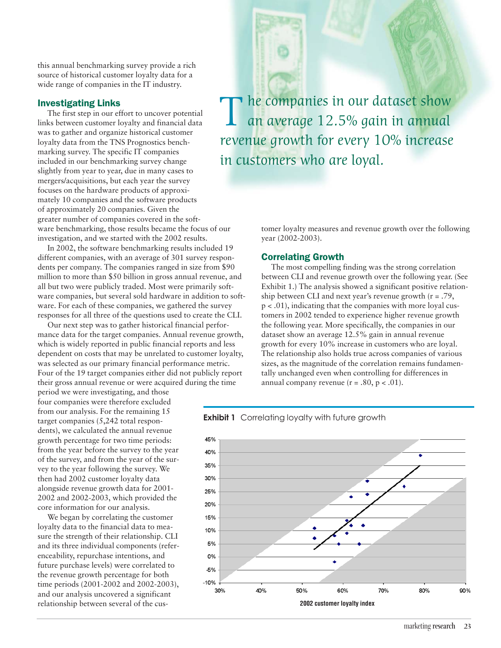this annual benchmarking survey provide a rich source of historical customer loyalty data for a wide range of companies in the IT industry.

## Investigating Links

The first step in our effort to uncover potential links between customer loyalty and financial data was to gather and organize historical customer loyalty data from the TNS Prognostics benchmarking survey. The specific IT companies included in our benchmarking survey change slightly from year to year, due in many cases to mergers/acquisitions, but each year the survey focuses on the hardware products of approximately 10 companies and the software products of approximately 20 companies. Given the greater number of companies covered in the software benchmarking, those results became the focus of our investigation, and we started with the 2002 results.

In 2002, the software benchmarking results included 19 different companies, with an average of 301 survey respondents per company. The companies ranged in size from \$90 million to more than \$50 billion in gross annual revenue, and all but two were publicly traded. Most were primarily software companies, but several sold hardware in addition to software. For each of these companies, we gathered the survey responses for all three of the questions used to create the CLI.

Our next step was to gather historical financial performance data for the target companies. Annual revenue growth, which is widely reported in public financial reports and less dependent on costs that may be unrelated to customer loyalty, was selected as our primary financial performance metric. Four of the 19 target companies either did not publicly report their gross annual revenue or were acquired during the time

period we were investigating, and those four companies were therefore excluded from our analysis. For the remaining 15 target companies (5,242 total respondents), we calculated the annual revenue growth percentage for two time periods: from the year before the survey to the year of the survey, and from the year of the survey to the year following the survey. We then had 2002 customer loyalty data alongside revenue growth data for 2001- 2002 and 2002-2003, which provided the core information for our analysis.

We began by correlating the customer loyalty data to the financial data to measure the strength of their relationship. CLI and its three individual components (referenceability, repurchase intentions, and future purchase levels) were correlated to the revenue growth percentage for both time periods (2001-2002 and 2002-2003), and our analysis uncovered a significant relationship between several of the cus-

The companies in our dataset show<br>an average 12.5% gain in annual revenue growth for every 10% increase in customers who are loyal.

> tomer loyalty measures and revenue growth over the following year (2002-2003).

#### Correlating Growth

The most compelling finding was the strong correlation between CLI and revenue growth over the following year. (See Exhibit 1.) The analysis showed a significant positive relationship between CLI and next year's revenue growth  $(r = .79, ...)$ p < .01), indicating that the companies with more loyal customers in 2002 tended to experience higher revenue growth the following year. More specifically, the companies in our dataset show an average 12.5% gain in annual revenue growth for every 10% increase in customers who are loyal. The relationship also holds true across companies of various sizes, as the magnitude of the correlation remains fundamentally unchanged even when controlling for differences in annual company revenue ( $r = .80$ ,  $p < .01$ ).



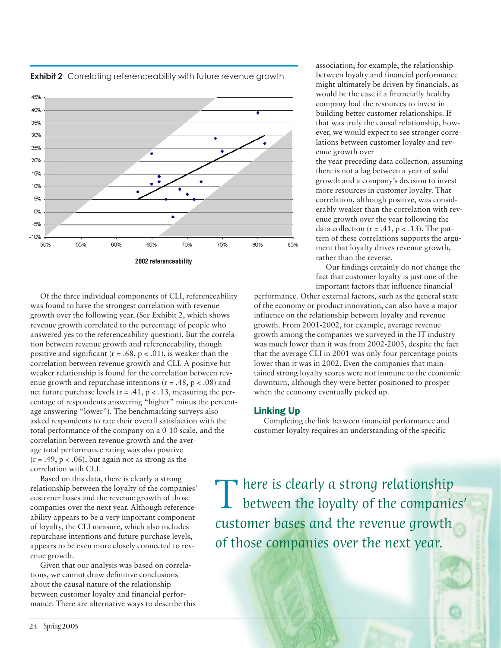

Of the three individual components of CLI, referenceability was found to have the strongest correlation with revenue growth over the following year. (See Exhibit 2, which shows revenue growth correlated to the percentage of people who answered yes to the referenceability question). But the correlation between revenue growth and referenceability, though positive and significant  $(r = .68, p < .01)$ , is weaker than the correlation between revenue growth and CLI. A positive but weaker relationship is found for the correlation between revenue growth and repurchase intentions  $(r = .48, p < .08)$  and net future purchase levels ( $r = .41$ ,  $p < .13$ , measuring the percentage of respondents answering "higher" minus the percentage answering "lower"). The benchmarking surveys also asked respondents to rate their overall satisfaction with the total performance of the company on a 0-10 scale, and the correlation between revenue growth and the average total performance rating was also positive  $(r = .49, p < .06)$ , but again not as strong as the correlation with CLI.

Based on this data, there is clearly a strong relationship between the loyalty of the companies' customer bases and the revenue growth of those companies over the next year. Although referenceability appears to be a very important component of loyalty, the CLI measure, which also includes repurchase intentions and future purchase levels, appears to be even more closely connected to revenue growth.

Given that our analysis was based on correlations, we cannot draw definitive conclusions about the causal nature of the relationship between customer loyalty and financial performance. There are alternative ways to describe this association; for example, the relationship between loyalty and financial performance might ultimately be driven by financials, as would be the case if a financially healthy company had the resources to invest in building better customer relationships. If that was truly the causal relationship, however, we would expect to see stronger correlations between customer loyalty and revenue growth over

the year preceding data collection, assuming there is not a lag between a year of solid growth and a company's decision to invest more resources in customer loyalty. That correlation, although positive, was considerably weaker than the correlation with revenue growth over the year following the data collection  $(r = .41, p < .13)$ . The pattern of these correlations supports the argument that loyalty drives revenue growth, rather than the reverse.

Our findings certainly do not change the fact that customer loyalty is just one of the important factors that influence financial

performance. Other external factors, such as the general state of the economy or product innovation, can also have a major influence on the relationship between loyalty and revenue growth. From 2001-2002, for example, average revenue growth among the companies we surveyed in the IT industry was much lower than it was from 2002-2003, despite the fact that the average CLI in 2001 was only four percentage points lower than it was in 2002. Even the companies that maintained strong loyalty scores were not immune to the economic downturn, although they were better positioned to prosper when the economy eventually picked up.

# Linking Up

Completing the link between financial performance and customer loyalty requires an understanding of the specific

There is clearly a strong relationship<br>between the loyalty of the companies' customer bases and the revenue growth of those companies over the next year.